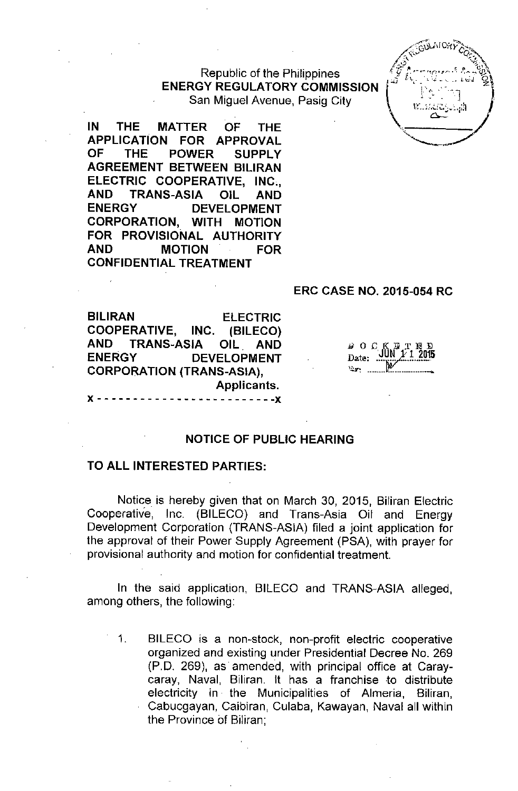## Republic of the Philippines **ENERGY REGULATORY COMMISSION** San Miguel Avenue, Pasig City

**IN THE MATTER OF THE APPLICATION FOR APPROVAL OF THE POWER SUPPLY AGREEMENT BETWEEN BILIRAN ELECTRIC COOPERATIVE, INC., AND TRANS-ASIA OIL AND ENERGY DEVELOPMENT CORPORATION, WITH MOTION FOR PROVISIONAL AUTHORITY AND MOTION FOR CONFIDENTIAL TREATMENT**

#### **ERC CASE NO. 2015-054 RC**

**BILIRAN ELECTRIC COOPERATIVE, INC. (BILECO) AND TRANS-ASIA OIL. AND ENERGY DEVELOPMENT CORPORATION (TRANS-ASIA),** Applicants. x - - - - - - - - - - - - - - - - - - - - - - - - **-x**

| t I | <b>I</b> : | IJ   |    | D     |
|-----|------------|------|----|-------|
| te: |            | UN I | V1 | 2015. |
|     |            |      |    |       |

#### **NOTICE OF PUBLIC HEARING**

### **TO ALL INTERESTED PARTIES:**

Notice is hereby given that on March 30, 2015, Biliran Electric Cooperative, Inc. (BILECO) and Trans-Asia Oil and Energy Development Corporation (TRANS-ASIA) filed a joint application for the approval of their Power Supply Agreement (PSA), with prayer for provisional authority and motion for confidential treatment.

In the said application, BILECO and TRANS-ASIA alleged, among others, the following:

1. BILECO is a non-stock, non-profit electric cooperative organized and existing under Presidential Decree No. 269 (PD. 269), as amended, with principal office at Caraycaray, Naval, Biliran. It has a franchise to distribute electricity in the Municipalities of Almeria, Biliran, Cabucgayan, Caibiran, Culaba, Kawayan, Naval all within the Province of Biliran;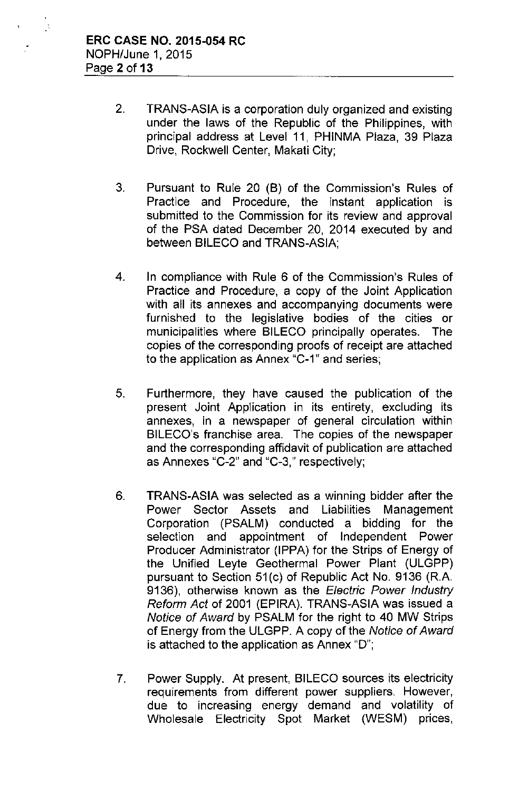- 2. TRANS-ASIA is a corporation duly organized and existing under the laws of the Republic of the Philippines, with principal address at Level **11,** PHINMA Plaza, 39 Plaza Drive, Rockwell Center, Makati City;
- 3. Pursuant to Rule 20 (B) of the Commission's Rules of Practice and Procedure, the instant application is submitted to the Commission for its review and approval of the PSA dated December 20, 2014 executed by and between BILECO and TRANS-ASIA;
- 4. In compliance with Rule 6 of the Commission's Rules of Practice and Procedure, a copy of the Joint Application with all its annexes and accompanying documents were furnished to the legislative bodies of the cities or municipalities where BILECO principally operates. The copies of the corresponding proofs of receipt are attached to the application as Annex "C-1" and series;
- 5. Furthermore, they have caused the publication of the present Joint Application in its entirety, excluding its annexes, in a newspaper of general circulation within BILECO's franchise area. The copies of the newspaper and the corresponding affidavit of publication are attached as Annexes "C-2" and "C-3," respectively;
- 6. TRANS-ASIA was selected as a winning bidder after the Power Sector Assets and Liabilities Management Corporation (PSALM) conducted a bidding for the selection and appointment of Independent Power Producer Administrator (IPPA) for the Strips of Energy of the Unified Leyte Geothermal Power Plant (ULGPP) pursuant to Section 51(c) of Republic Act No. 9136 (R.A. 9136), otherwise known as the *Electric Power Industry Reform Act* of 2001 (EPIRA). TRANS-ASIA was issued a *Notice* of *Award* by PSALM for the right to 40 MW Strips of Energy from the ULGPP. A copy of the *Notice* of *Award* is attached to the application as Annex "0";
- 7. Power Supply. At present, BILECO sources its electricity requirements from different power suppliers. However, due to increasing energy demand and volatility of Wholesale Electricity Spot Market (WESM) prices,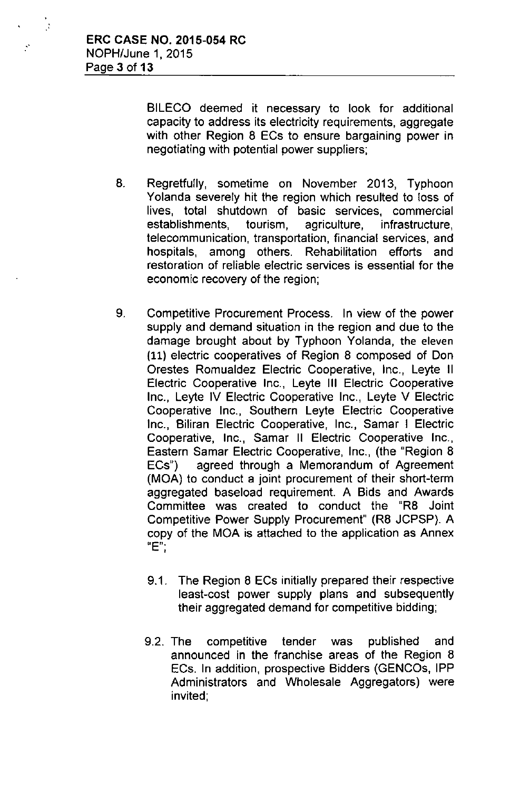$\frac{1}{2}$ 

BILECO deemed it necessary to look for additional capacity to address its electricity requirements, aggregate with other Region 8 ECs to ensure bargaining power in negotiating with potential power suppliers;

- 8. Regretfully, sometime on November 2013, Typhoon Yolanda severely hit the region which resulted to loss of lives, total shutdown of basic services, commercial establishments, tourism, agriculture, infrastructure, telecommunication, transportation, financial services, and hospitals, among others. Rehabilitation efforts and restoration of reliable electric services is essential for the economic recovery of the region;
- 9. Competitive Procurement Process. In view of the power supply and demand situation in the region and due to the damage brought about by Typhoon Yolanda, the eleven (11) electric cooperatives of Region 8 composed of Don Orestes Romualdez Electric Cooperative, Inc., Leyte II Electric Cooperative Inc., Leyte III Electric Cooperative Inc., Leyte *IV* Electric Cooperative Inc., Leyte *V* Electric Cooperative Inc., Southern Leyte Electric Cooperative Inc., Biliran Electric Cooperative, Inc., Samar I Electric Cooperative, Inc., Samar II Electric Cooperative Inc., Eastern Samar Electric Cooperative, Inc., (the "Region 8 ECs") agreed through a Memorandum of Agreement (MOA) to conduct a joint procurement of their short-term aggregated baseload requirement. A Bids and Awards Committee was created to conduct the "R8 Joint Competitive Power Supply Procurement" (R8 JCPSP). A copy of the MOA is attached to the application as Annex **IIE"-** ,
	- 9.1. The Region 8 ECs initially prepared their respective least-cost power supply plans and subsequently their aggregated demand for competitive bidding;
	- 9.2. The competitive tender was published and announced in the franchise areas of the Region 8 ECs. In addition, prospective Bidders (GENCOs, IPP Administrators and Wholesale Aggregators) were invited;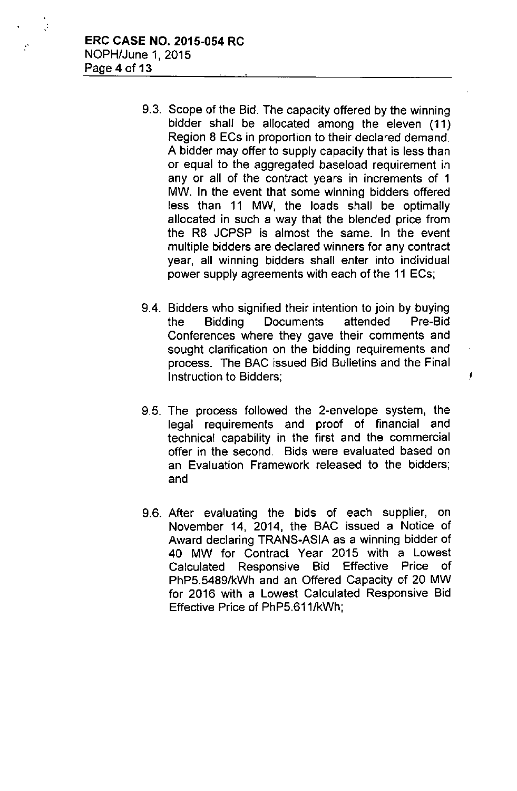$\mathcal{L}$ 

- 9.3. Scope of the Bid. The capacity offered by the winning bidder shall be allocated among the eleven (11) Region 8 ECs in proportion to their declared demand. A bidder may offer to supply capacity that is less than or equal to the aggregated baseload requirement in any or all of the contract years in increments of 1 MW. In the event that some winning bidders offered less than **11** MW, the loads shall be optimally allocated in such a way that the blended price from the R8 JCPSP is almost the same. In the event multiple bidders are declared winners for any contract year, all winning bidders shall enter into individual power supply agreements with each of the **11** ECs;
- 9.4. Bidders who signified their intention to join by buying the Bidding Documents attended Pre-Bid Conferences where they gave their comments and sought clarification on the bidding requirements and process. The BAC issued Bid Bulletins and the Final Instruction to Bidders; **Instruction** to Bidders;
- 9.5. The process followed the 2-envelope system, the legal requirements and proof of financial and technical capability in the first and the commercial offer in the second. Bids were evaluated based on an Evaluation Framework released to the bidders; and
- 9.6. After evaluating the bids of each supplier, on November 14, 2014, the BAC issued a Notice of Award declaring TRANS-ASIA as a winning bidder of 40 MW for Contract Year 2015 with a Lowest Calculated Responsive Bid Effective Price of PhP5.5489/kWh and an Offered Capacity of 20 MW for 2016 with a Lowest Calculated Responsive Bid Effective Price of PhP5.611/kWh;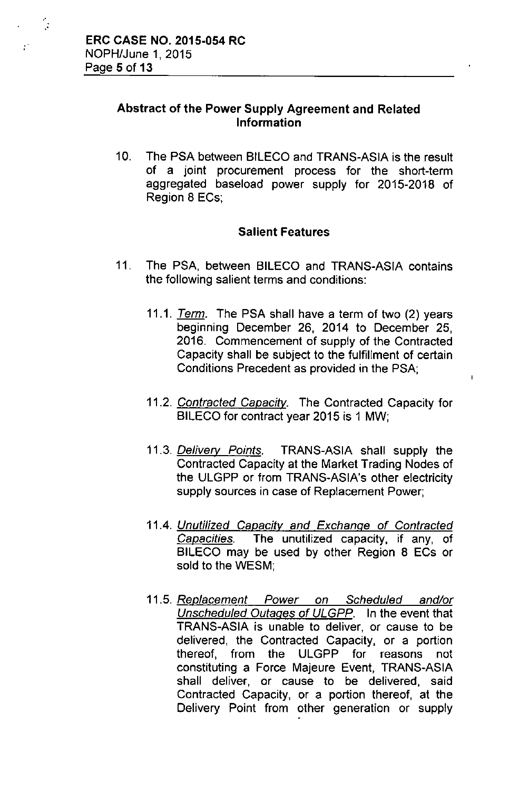"

 $\mathbb{R}^2$ 

## Abstract of the Power Supply Agreement and Related Information

10, The PSA between BILECO and TRANS-ASIA is the result of a joint procurement process for the short-term aggregated baseload power supply for 2015-2018 of Region 8 ECs;

## Salient Features

- 11, The PSA, between BILECO and TRANS-ASIA contains the following salient terms and conditions:
	- *11,1. Term.* The PSA shall have a term of two (2) years beginning December 26, 2014 to December 25, 2016, Commencement of supply of the Contracted Capacity shall be subject to the fulfillment of certain Conditions Precedent as provided in the PSA;

 $\overline{1}$ 

- *11.2. Contracted Capacitv.* The Contracted Capacity for BILECO for contract year 2015 is 1 MW;
- *11.3. Delivery Points.* TRANS-ASIA shall supply the Contracted Capacity at the Market Trading Nodes of the ULGPP or from TRANS-ASIA's other electricity supply sources in case of Replacement Power;
- *11.4. Unuti/ized Capacity and Exchange of Contracted Capacities.* The unutilized capacity, if any, of BILECO may be used by other Region 8 ECs or sold to the WESM;
- *11.5. Replacement Power on Scheduled and/or Unscheduled Outages of ULGPP.* In the event that TRANS-ASIA is unable to deliver, or cause to be delivered, the Contracted Capacity, or a portion thereof, from the ULGPP for reasons not constituting a Force Majeure Event, TRANS-ASIA shall deliver, or cause to be delivered, said Contracted Capacity, or a portion thereof, at the Delivery Point from other generation or supply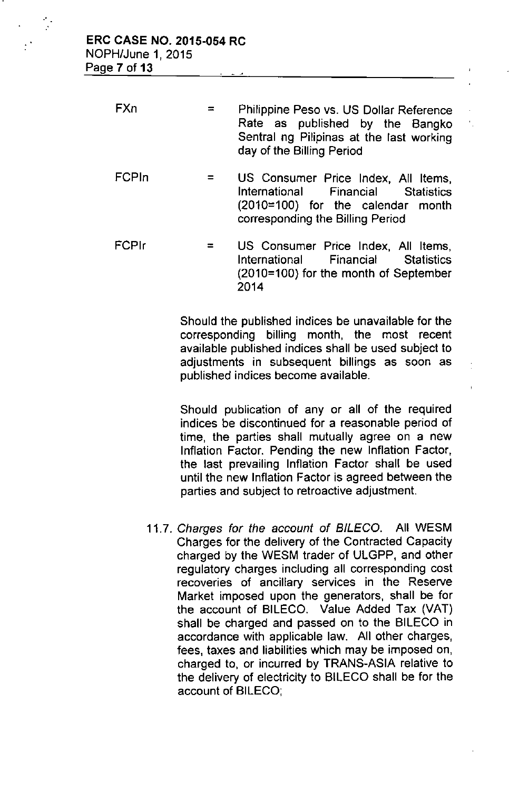| FXn | $\equiv$ $\equiv$ | Philippine Peso vs. US Dollar Reference  |  |  |  |
|-----|-------------------|------------------------------------------|--|--|--|
|     |                   | Rate as published by the Bangko          |  |  |  |
|     |                   | Sentral ng Pilipinas at the last working |  |  |  |
|     |                   | day of the Billing Period                |  |  |  |
|     |                   |                                          |  |  |  |

- FCPln  $=$ US Consumer Price Index, All Items, International Financial Statistics (2010=100) for the calendar month corresponding the Billing Period
- FCPlr = US Consumer Price Index, **All** Items, International Financial Statistics (2010=100) for the month of September 2014

Should the published indices be unavailable for the corresponding billing month, the most recent available published indices shall be used subject to adjustments in subsequent billings as soon as published indices become available.

Should publication of any or all of the required indices be discontinued for a reasonable period of time, the parties shall mutually agree on a new Inflation Factor. Pending the new Inflation Factor, the last prevailing Inflation Factor shall be used until the new Inflation Factor is agreed between the parties and subject to retroactive adjustment.

*11.7. Charges for the account* of *BILECO.* All WESM Charges for the delivery of the Contracted Capacity charged by the WESM trader of ULGPP, and other regulatory charges including all corresponding cost recoveries of ancillary services in the Reserve Market imposed upon the generators, shall be for the account of BILECO. Value Added Tax (VAT) shall be charged and passed on to the BILECO in accordance with applicable law. All other charges, fees, taxes and liabilities which may be imposed on, charged to, or incurred by TRANS-ASIA relative to the delivery of electricity to BILECO shall be for the account of BILECO;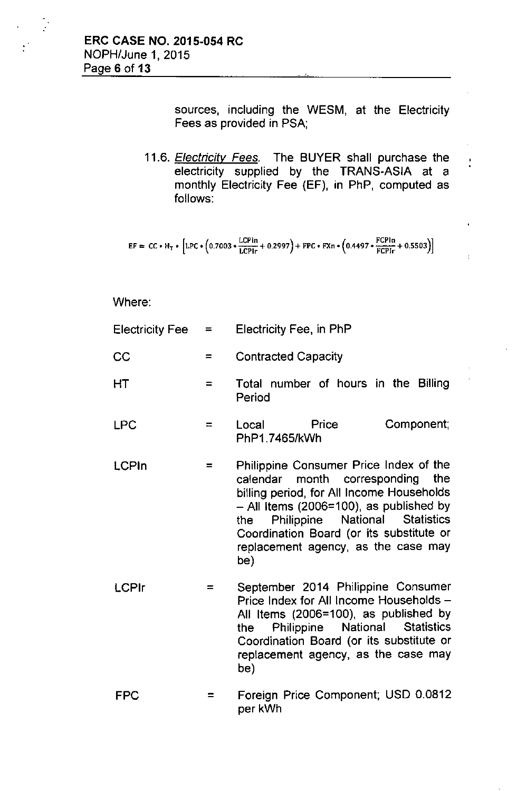$\mathbb{R}^2$ 

 $\mathcal{C}$ 

sources, including the WESM, at the Electricity Fees as provided in PSA;

Ì.

*11.6. Electricity Fees.* The BUYER shall purchase the electricity supplied by the TRANS-ASIA at a monthly Electricity Fee (EF), in PhP, computed as follows:

$$
EF = CC * H_T * [LPC * (0.7003 * \frac{LCPIn}{LCPIr} + 0.2997) + FPC * FXn * (0.4497 * \frac{FCPin}{FCPIr} + 0.5503)]
$$

Where:

| <b>Electricity Fee</b> | $=$      | Electricity Fee, in PhP                                                                                                                                                                                                                                                                                              |  |  |
|------------------------|----------|----------------------------------------------------------------------------------------------------------------------------------------------------------------------------------------------------------------------------------------------------------------------------------------------------------------------|--|--|
| CC                     | $=$      | <b>Contracted Capacity</b>                                                                                                                                                                                                                                                                                           |  |  |
| HT                     | $\equiv$ | Total number of hours in the Billing<br>Period                                                                                                                                                                                                                                                                       |  |  |
| <b>LPC</b>             | $=$      | Price<br>Component;<br>Local Deliver<br>PhP1.7465/kWh                                                                                                                                                                                                                                                                |  |  |
| <b>LCPIn</b>           | $=$      | Philippine Consumer Price Index of the<br>calendar month corresponding<br>the<br>billing period, for All Income Households<br>$-$ All Items (2006=100), as published by<br>Philippine National<br><b>Statistics</b><br>the<br>Coordination Board (or its substitute or<br>replacement agency, as the case may<br>be) |  |  |
| <b>LCPIr</b>           |          | September 2014 Philippine Consumer<br>Price Index for All Income Households -<br>All Items (2006=100), as published by<br>Philippine National Statistics<br>the<br>Coordination Board (or its substitute or<br>replacement agency, as the case may<br>be)                                                            |  |  |
|                        |          |                                                                                                                                                                                                                                                                                                                      |  |  |

FPC = Foreign Price Component; USD 0.0812 per kWh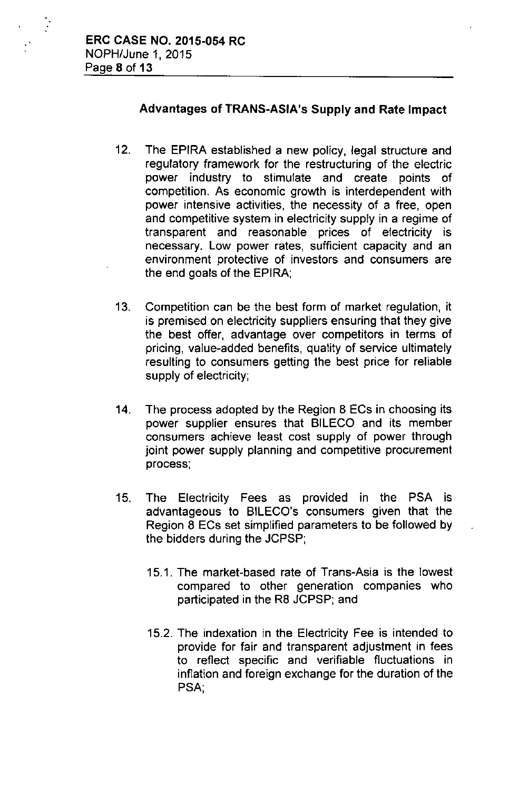$\ddot{\cdot}$ 

# Advantages of TRANS-ASIA's Supply and Rate Impact

- 12. The EPIRA established a new policy, legal structure and regulatory framework for the restructuring of the electric power industry to stimulate and create points of competition. As economic growth is interdependent with power intensive activities, the necessity of a free, open and competitive system in electricity supply in a regime of transparent and reasonable prices of electricity is necessary. Low power rates, sufficient capacity and an environment protective of investors and consumers are the end goals of the EPIRA;
- 13. Competition can be the best form of market regulation, it is premised on electricity suppliers ensuring that they give the best offer, advantage over competitors in terms of pricing, value-added benefits, quality of service ultimately resulting to consumers getting the best price for reliable supply of electricity;
- 14. The process adopted by the Region 8 ECs in choosing its power supplier ensures that BILECO and its member consumers achieve least cost supply of power through joint power supply planning and competitive procurement process;
- 15. The Electricity Fees as provided in the PSA is advantageous to BILECO's consumers given that the Region 8 ECs set simplified parameters to be followed by the bidders during the JCPSP;
	- 15.1. The market-based rate of Trans-Asia is the lowest compared to other generation companies who participated in the R8 JCPSP; and
	- 15.2. The indexation in the Electricity Fee is intended to provide for fair and transparent adjustment in fees to reflect specific and verifiable fluctuations in inflation and foreign exchange for the duration of the PSA;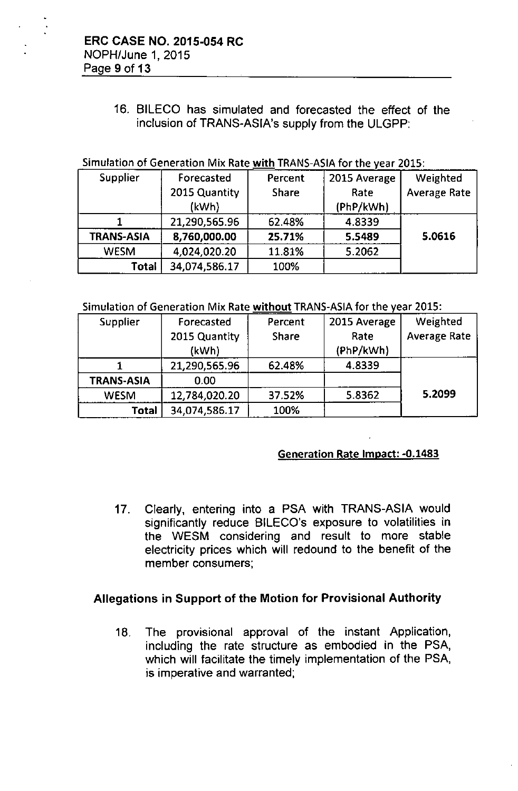# 16. BILECO has simulated and forecasted the effect of the inclusion of TRANS-ASiA's supply from the ULGPP:

# Simulation of Generation Mix Rate with TRANS-ASIA for the year 2015:

| <b>Supplier</b> | Forecasted    | Percent | 2015 Average | Weighted            |
|-----------------|---------------|---------|--------------|---------------------|
|                 | 2015 Quantity | Share   | Rate         | <b>Average Rate</b> |
|                 | (kWh)         |         | (PhP/kWh)    |                     |
|                 | 21,290,565.96 | 62.48%  | 4.8339       |                     |
| TRANS-ASIA      | 8,760,000.00  | 25.71%  | 5.5489       | 5.0616              |
| <b>WESM</b>     | 4,024,020.20  | 11.81%  | 5.2062       |                     |
| Total           | 34,074,586.17 | 100%    |              |                     |

#### Simulation of Generation Mix Rate without TRANS-ASIA for the year 2015:

| <b>Supplier</b>   | Forecasted    | Percent | 2015 Average | Weighted            |  |
|-------------------|---------------|---------|--------------|---------------------|--|
|                   | 2015 Quantity | Share   | Rate         | <b>Average Rate</b> |  |
|                   | (kWh)         |         | (PhP/kWh)    |                     |  |
|                   | 21,290,565.96 | 62.48%  | 4.8339       |                     |  |
| <b>TRANS-ASIA</b> | 0.00          |         |              |                     |  |
| <b>WESM</b>       | 12,784,020.20 | 37.52%  | 5.8362       | 5.2099              |  |
| Total             | 34,074,586.17 | 100%    |              |                     |  |

#### Generation Rate Impact: -0.1483

17. Clearly, entering into a PSA with TRANS-ASIA would significantly reduce BILECO's exposure to volatilities in the WESM considering and result to more stable electricity prices which will redound to the benefit of the member consumers;

## Allegations in Support of the Motion for Provisional Authority

18. The provisional approval of the instant Application, including the rate structure as embodied in the PSA, which will facilitate the timely implementation of the PSA, is imperative and warranted;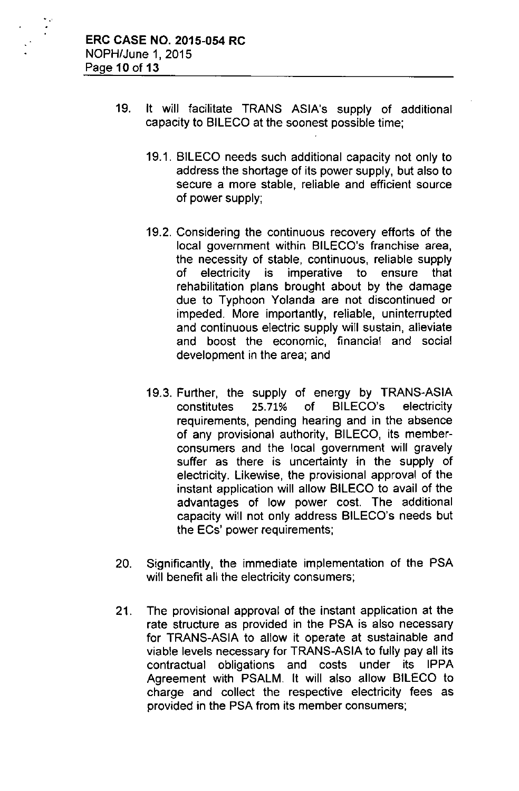- 19. It will facilitate TRANS ASIA's supply of additional capacity to BILECO at the soonest possible time;
	- 19.1. BILECO needs such additional capacity not only to address the shortage of its power supply, but also to secure a more stable, reliable and efficient source of power supply;
	- 19.2. Considering the continuous recovery efforts of the local government within BILECO's franchise area, the necessity of stable, continuous, reliable supply of electricity is imperative to ensure that rehabilitation plans brought about by the damage due to Typhoon Yolanda are not discontinued or impeded. More importantly, reliable, uninterrupted and continuous electric supply will sustain, alleviate and boost the economic, financial and social development in the area; and
	- 19.3. Further, the supply of energy by TRANS-ASIA constitutes 25.71% of BILECO's electricity requirements, pending hearing and in the absence of any provisional authority, BILECO, its memberconsumers and the local government will gravely suffer as there is uncertainty in the supply of electricity. Likewise, the provisional approval of the instant application will allow BILECO to avail of the advantages of low power cost. The additional capacity will not only address BILECO's needs but the ECs' power requirements;
- 20. Significantly, the immediate implementation of the PSA will benefit all the electricity consumers;
- 21. The provisional approval of the instant application at the rate structure as provided in the PSA is also necessary for TRANS-ASIA to allow it operate at sustainable and viable levels necessary for TRANS-ASIA to fully pay all its contractual obligations and costs under its IPPA Agreement with PSALM. It will also allow BILECO to charge and collect the respective electricity fees as provided in the PSA from its member consumers;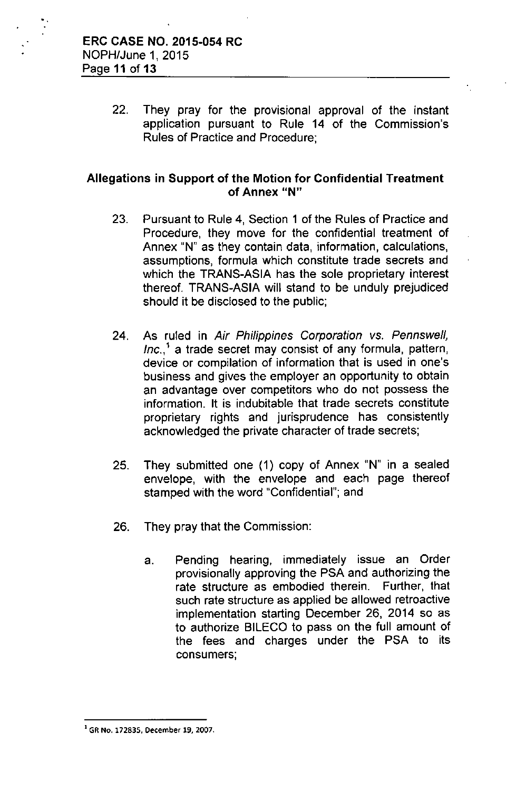22. They pray for the provisional approval of the instant application pursuant to Rule 14 of the Commission's Rules of Practice and Procedure;

## Allegations in Support of the Motion for Confidential Treatment of Annex "N"

- 23. Pursuant to Rule 4, Section 1 of the Rules of Practice and Procedure, they move for the confidential treatment of Annex "N" as they contain data, information, calculations, assumptions, formula which constitute trade secrets and which the TRANS-ASIA has the sole proprietary interest thereof. TRANS-ASIA will stand to be unduly prejudiced should it be disclosed to the public;
- 24. As ruled in *Air Philippines Corporation* vs. *Pennswel!, Inc ..'* a trade secret may consist of any formula, pattern, device or compilation of information that is used in one's business and gives the employer an opportunity to obtain an advantage over competitors who do not possess the information. It is indubitable that trade secrets constitute proprietary rights and jurisprudence has consistently acknowledged the private character of trade secrets;
- 25. They submitted one (1) copy of Annex "N" in a sealed envelope, with the envelope and each page thereof stamped with the word "Confidential"; and
- 26. They pray that the Commission:
	- a. Pending hearing, immediately issue an Order provisionally approving the PSA and authorizing the rate structure as embodied therein. Further, that such rate structure as applied be allowed retroactive implementation starting December 26, 2014 so as to authorize BILECO to pass on the full amount of the fees and charges under the PSA to its consumers;

**I GR No. 172835, December 19,** 2007.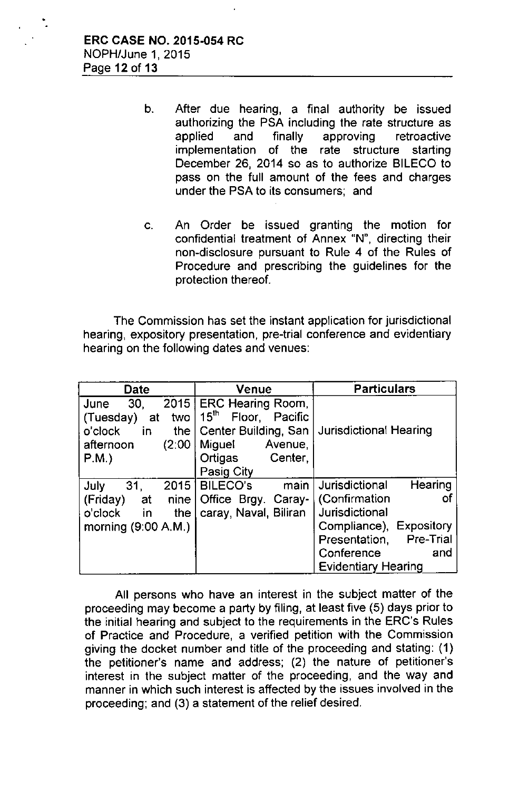•

- b. After due hearing, a final authority be issued authorizing the PSA including the rate structure as applied and finally approving retroactive implementation of the rate structure starting December 26, 2014 so as to authorize BILECO to pass on the full amount of the fees and charges under the PSA to its consumers; and
- c. An Order be issued granting the motion for confidential treatment of Annex "N", directing their non-disclosure pursuant to Rule 4 of the Rules of Procedure and prescribing the guidelines for the protection thereof.

The Commission has set the instant application for jurisdictional hearing, expository presentation, pre-trial conference and evidentiary hearing on the following dates and venues:

| Date                     | Venue                              | <b>Particulars</b>                |  |
|--------------------------|------------------------------------|-----------------------------------|--|
| 2015<br>30,<br>June      | <b>ERC Hearing Room,</b>           |                                   |  |
| (Tuesday)<br>two l<br>at | $15^{\text{th}}$<br>Floor, Pacific |                                   |  |
| in.<br>o'clock<br>the    | Center Building, San               | <b>Jurisdictional Hearing</b>     |  |
| (2:00)<br>afternoon      | Avenue,<br>Miguel                  |                                   |  |
| $P.M.$ )                 | Ortigas<br>Center,                 |                                   |  |
|                          | Pasig City                         |                                   |  |
| 31.<br>July<br>2015      | main<br><b>BILECO'S</b>            | Hearing<br>Jurisdictional         |  |
| (Friday)<br>at<br>nine   | Office Brgy. Caray-                | (Confirmation<br>οt               |  |
| o'clock<br>in<br>the     | caray, Naval, Biliran              | Jurisdictional                    |  |
| morning $(9:00 A.M.)$    |                                    | Expository<br>Compliance),        |  |
|                          |                                    | <b>Pre-Trial</b><br>Presentation, |  |
|                          |                                    | Conference<br>and                 |  |
|                          |                                    | <b>Evidentiary Hearing</b>        |  |

All persons who have an interest in the subject matter of the proceeding may become a party by filing, at least five (5) days prior to the initial hearing and subject to the requirements in the ERC's Rules of Practice and Procedure, a verified petition with the Commission giving the docket number and title of the proceeding and stating: (1) the petitioner's name and address; (2) the nature of petitioner's interest in the subject matter of the proceeding, and the way and manner in which such interest is affected by the issues involved in the proceeding; and (3) a statement of the relief desired.